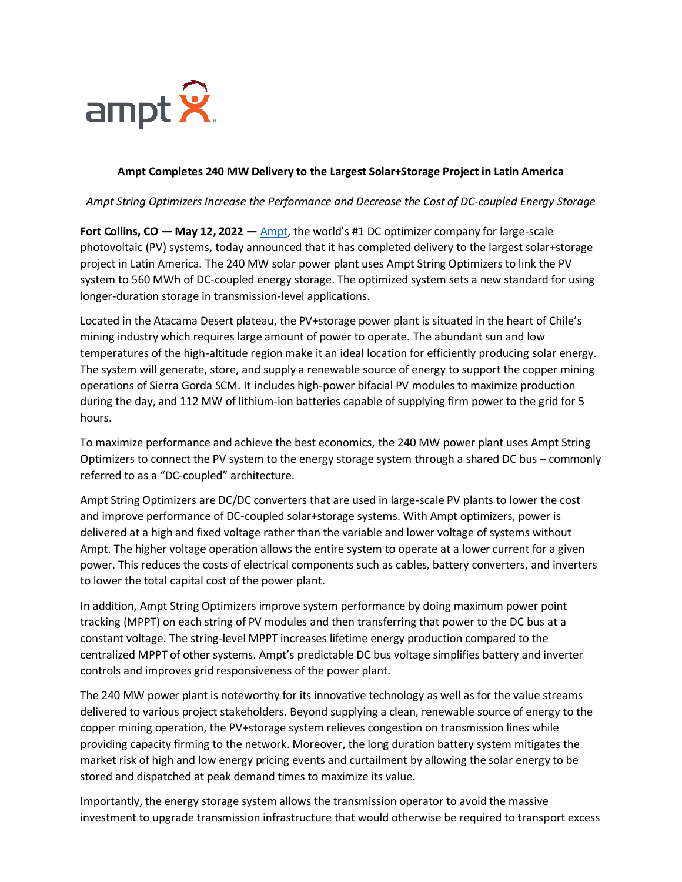

## **Ampt Completes 240 MW Delivery to the Largest Solar+Storage Project in Latin America**

*Ampt String Optimizers Increase the Performance and Decrease the Cost of DC-coupled Energy Storage*

**Fort Collins, CO — May 12, 2022 —** [Ampt](https://www.ampt.com/), the world's #1 DC optimizer company for large-scale photovoltaic (PV) systems, today announced that it has completed delivery to the largest solar+storage project in Latin America. The 240 MW solar power plant uses Ampt String Optimizers to link the PV system to 560 MWh of DC-coupled energy storage. The optimized system sets a new standard for using longer-duration storage in transmission-level applications.

Located in the Atacama Desert plateau, the PV+storage power plant is situated in the heart of Chile's mining industry which requires large amount of power to operate. The abundant sun and low temperatures of the high-altitude region make it an ideal location for efficiently producing solar energy. The system will generate, store, and supply a renewable source of energy to support the copper mining operations of Sierra Gorda SCM. It includes high-power bifacial PV modules to maximize production during the day, and 112 MW of lithium-ion batteries capable of supplying firm power to the grid for 5 hours.

To maximize performance and achieve the best economics, the 240 MW power plant uses Ampt String Optimizers to connect the PV system to the energy storage system through a shared DC bus – commonly referred to as a "DC-coupled" architecture.

Ampt String Optimizers are DC/DC converters that are used in large-scale PV plants to lower the cost and improve performance of DC-coupled solar+storage systems. With Ampt optimizers, power is delivered at a high and fixed voltage rather than the variable and lower voltage of systems without Ampt. The higher voltage operation allows the entire system to operate at a lower current for a given power. This reduces the costs of electrical components such as cables, battery converters, and inverters to lower the total capital cost of the power plant.

In addition, Ampt String Optimizers improve system performance by doing maximum power point tracking (MPPT) on each string of PV modules and then transferring that power to the DC bus at a constant voltage. The string-level MPPT increases lifetime energy production compared to the centralized MPPT of other systems. Ampt's predictable DC bus voltage simplifies battery and inverter controls and improves grid responsiveness of the power plant.

The 240 MW power plant is noteworthy for its innovative technology as well as for the value streams delivered to various project stakeholders. Beyond supplying a clean, renewable source of energy to the copper mining operation, the PV+storage system relieves congestion on transmission lines while providing capacity firming to the network. Moreover, the long duration battery system mitigates the market risk of high and low energy pricing events and curtailment by allowing the solar energy to be stored and dispatched at peak demand times to maximize its value.

Importantly, the energy storage system allows the transmission operator to avoid the massive investment to upgrade transmission infrastructure that would otherwise be required to transport excess